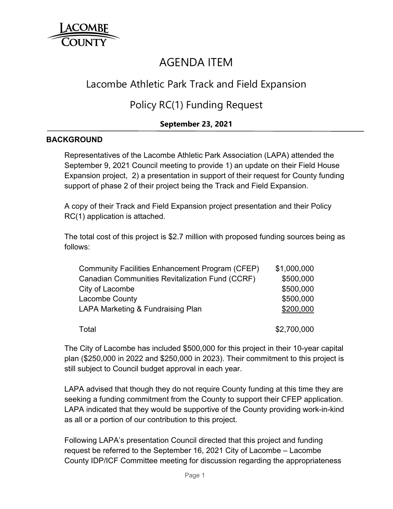

# AGENDA ITEM

## Lacombe Athletic Park Track and Field Expansion

### Policy RC(1) Funding Request

### **September 23, 2021**

#### **BACKGROUND**

Representatives of the Lacombe Athletic Park Association (LAPA) attended the September 9, 2021 Council meeting to provide 1) an update on their Field House Expansion project, 2) a presentation in support of their request for County funding support of phase 2 of their project being the Track and Field Expansion.

A copy of their Track and Field Expansion project presentation and their Policy RC(1) application is attached.

The total cost of this project is \$2.7 million with proposed funding sources being as follows:

| Community Facilities Enhancement Program (CFEP)        | \$1,000,000 |
|--------------------------------------------------------|-------------|
| <b>Canadian Communities Revitalization Fund (CCRF)</b> | \$500,000   |
| City of Lacombe                                        | \$500,000   |
| <b>Lacombe County</b>                                  | \$500,000   |
| LAPA Marketing & Fundraising Plan                      | \$200,000   |
| Total                                                  | \$2,700,000 |

The City of Lacombe has included \$500,000 for this project in their 10-year capital plan (\$250,000 in 2022 and \$250,000 in 2023). Their commitment to this project is still subject to Council budget approval in each year.

LAPA advised that though they do not require County funding at this time they are seeking a funding commitment from the County to support their CFEP application. LAPA indicated that they would be supportive of the County providing work-in-kind as all or a portion of our contribution to this project.

Following LAPA's presentation Council directed that this project and funding request be referred to the September 16, 2021 City of Lacombe – Lacombe County IDP/ICF Committee meeting for discussion regarding the appropriateness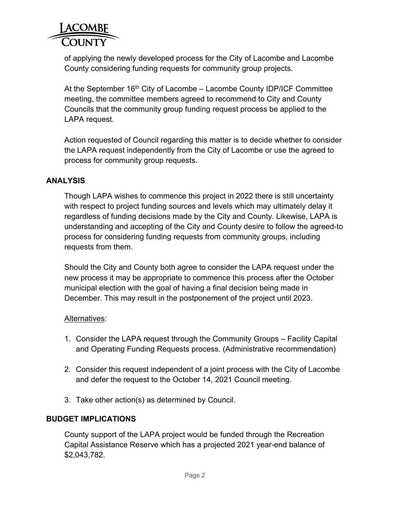

of applying the newly developed process for the City of Lacombe and Lacombe County considering funding requests for community group projects.

At the September  $16<sup>th</sup>$  City of Lacombe – Lacombe County IDP/ICF Committee meeting, the committee members agreed to recommend to City and County Councils that the community group funding request process be applied to the LAPA request.

Action requested of Council regarding this matter is to decide whether to consider the LAPA request independently from the City of Lacombe or use the agreed to process for community group requests.

#### **ANALYSIS**

Though LAPA wishes to commence this project in 2022 there is still uncertainty with respect to project funding sources and levels which may ultimately delay it regardless of funding decisions made by the City and County. Likewise, LAPA is understanding and accepting of the City and County desire to follow the agreed-to process for considering funding requests from community groups, including requests from them.

Should the City and County both agree to consider the LAPA request under the new process it may be appropriate to commence this process after the October municipal election with the goal of having a final decision being made in December. This may result in the postponement of the project until 2023.

#### Alternatives:

- 1. Consider the LAPA request through the Community Groups Facility Capital and Operating Funding Requests process. (Administrative recommendation)
- 2. Consider this request independent of a joint process with the City of Lacombe and defer the request to the October 14, 2021 Council meeting.
- 3. Take other action(s) as determined by Council.

#### **BUDGET IMPLICATIONS**

County support of the LAPA project would be funded through the Recreation Capital Assistance Reserve which has a projected 2021 year-end balance of \$2,043,782.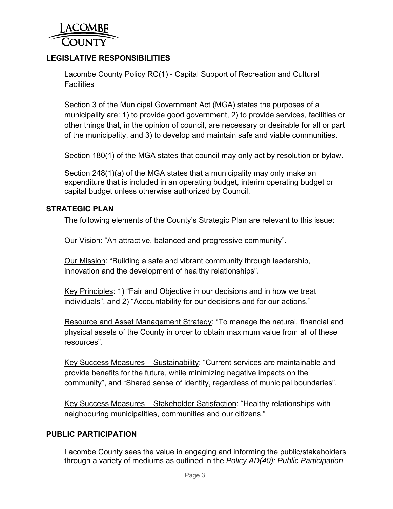

#### **LEGISLATIVE RESPONSIBILITIES**

Lacombe County Policy RC(1) - Capital Support of Recreation and Cultural **Facilities** 

Section 3 of the Municipal Government Act (MGA) states the purposes of a municipality are: 1) to provide good government, 2) to provide services, facilities or other things that, in the opinion of council, are necessary or desirable for all or part of the municipality, and 3) to develop and maintain safe and viable communities.

Section 180(1) of the MGA states that council may only act by resolution or bylaw.

Section 248(1)(a) of the MGA states that a municipality may only make an expenditure that is included in an operating budget, interim operating budget or capital budget unless otherwise authorized by Council.

#### **STRATEGIC PLAN**

The following elements of the County's Strategic Plan are relevant to this issue:

Our Vision: "An attractive, balanced and progressive community".

Our Mission: "Building a safe and vibrant community through leadership, innovation and the development of healthy relationships".

Key Principles: 1) "Fair and Objective in our decisions and in how we treat individuals", and 2) "Accountability for our decisions and for our actions."

Resource and Asset Management Strategy: "To manage the natural, financial and physical assets of the County in order to obtain maximum value from all of these resources".

Key Success Measures – Sustainability: "Current services are maintainable and provide benefits for the future, while minimizing negative impacts on the community", and "Shared sense of identity, regardless of municipal boundaries".

Key Success Measures – Stakeholder Satisfaction: "Healthy relationships with neighbouring municipalities, communities and our citizens."

#### **PUBLIC PARTICIPATION**

Lacombe County sees the value in engaging and informing the public/stakeholders through a variety of mediums as outlined in the *Policy AD(40): Public Participation*